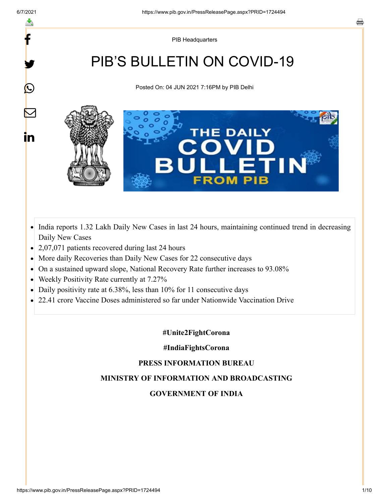f

≛

y.

 $\bigcirc$ 

 $\color{red} \blacktriangleright$ 

in

PIB Headquarters

# PIB'S BULLETIN ON COVID-19

Posted On: 04 JUN 2021 7:16PM by PIB Delhi



- India reports 1.32 Lakh Daily New Cases in last 24 hours, maintaining continued trend in decreasing  $\bullet$ Daily New Cases
- 2,07,071 patients recovered during last 24 hours
- More daily Recoveries than Daily New Cases for 22 consecutive days
- On a sustained upward slope, National Recovery Rate further increases to 93.08%  $\bullet$
- Weekly Positivity Rate currently at 7.27%  $\bullet$
- Daily positivity rate at 6.38%, less than 10% for 11 consecutive days
- 22.41 crore Vaccine Doses administered so far under Nationwide Vaccination Drive  $\bullet$

#### **#Unite2FightCorona**

#### **#IndiaFightsCorona**

#### **PRESS INFORMATION BUREAU**

## **MINISTRY OF INFORMATION AND BROADCASTING**

#### **GOVERNMENT OF INDIA**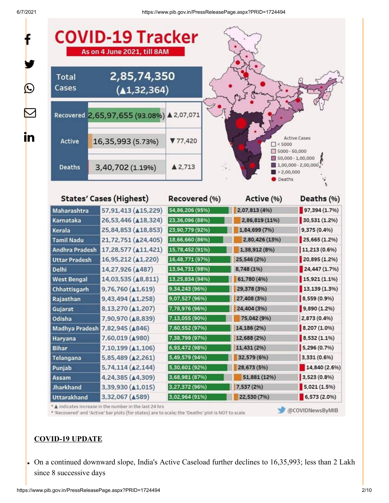$\mathbf{f}$ 

6/7/2021 https://www.pib.gov.in/PressReleasePage.aspx?PRID=1724494

| <b>Total</b><br>Cases | 2,85,74,350<br>(41, 32, 364)              |                 |                                  |                                                                                                                                                                                                                                                  |
|-----------------------|-------------------------------------------|-----------------|----------------------------------|--------------------------------------------------------------------------------------------------------------------------------------------------------------------------------------------------------------------------------------------------|
|                       | Recovered 2,65,97,655 (93.08%) ▲ 2,07,071 |                 |                                  |                                                                                                                                                                                                                                                  |
| Active                | 16,35,993 (5.73%)                         | 77,420          | $\Box$ < 5000<br>$5000 - 50,000$ | <b>Active Cases</b>                                                                                                                                                                                                                              |
| <b>Deaths</b>         | 3,40,702 (1.19%)                          | A2,713          | 2,00,000<br>Deaths               | 50,000 - 1,00,000<br>$1,00,000 - 2,00,000$                                                                                                                                                                                                       |
|                       | <b>States' Cases (Highest)</b>            | Recovered (%)   | Active (%)                       | Deaths (%)                                                                                                                                                                                                                                       |
| Maharashtra           | 57,91,413 (415,229)                       | 54,86,206 (95%) | 2,07,813 (4%)                    | 97,394 (1.7%)                                                                                                                                                                                                                                    |
| Karnataka             | 26,53,446 ( $\triangle$ 18,324)           | 23,36,096 (88%) | 2,86,819 (11%)                   | 30,531 (1.2%)                                                                                                                                                                                                                                    |
| Kerala                | 25,84,853 ( $\triangle$ 18,853)           | 23,90,779 (92%) | 1,84,699 (7%)                    | 9,375 (0.4%)                                                                                                                                                                                                                                     |
|                       | 21,72,751 ( $\triangle$ 24,405)           | 18,66,660 (86%) | 2,80,426 (13%)                   | $25,665(1.2\%)$                                                                                                                                                                                                                                  |
| <b>Tamil Nadu</b>     |                                           |                 |                                  |                                                                                                                                                                                                                                                  |
| <b>Andhra Pradesh</b> | 17,28,577 ( $\triangle 11,421$ )          | 15,78,452 (91%) | 1,38,912 (8%)                    |                                                                                                                                                                                                                                                  |
| <b>Uttar Pradesh</b>  | 16,95,212 ( $\triangle$ 1,220)            | 16,48,771 (97%) | 25,546 (2%)                      |                                                                                                                                                                                                                                                  |
| <b>Delhi</b>          | 14,27,926 ( $\triangle$ 487)              | 13,94,731 (98%) | 8,748 (1%)                       |                                                                                                                                                                                                                                                  |
| <b>West Bengal</b>    | 14,03,535 ( $\triangle$ 8,811)            | 13,25,834 (94%) | 61,780 (4%)                      |                                                                                                                                                                                                                                                  |
| Chhattisgarh          | $9,76,760 \ (\Delta 1,619)$               | 9,34,243 (96%)  | 29,378 (3%)                      |                                                                                                                                                                                                                                                  |
| Rajasthan             | 9,43,494 (41,258)                         | 9,07,527 (96%)  | 27,408 (3%)                      |                                                                                                                                                                                                                                                  |
| Gujarat               | 8,13,270 (▲1,207)                         | 7,78,976 (96%)  | 24,404 (3%)                      |                                                                                                                                                                                                                                                  |
| Odisha                | 7,90,970 ( $\triangle$ 8,839)             | 7,13,055 (90%)  | 75,042 (9%)                      |                                                                                                                                                                                                                                                  |
|                       | Madhya Pradesh 7,82,945 (A846)            | 7,60,552 (97%)  | 14,186 (2%)                      |                                                                                                                                                                                                                                                  |
| Haryana               | 7,60,019 (4980)                           | 7,38,799 (97%)  | 12,688 (2%)                      |                                                                                                                                                                                                                                                  |
| <b>Bihar</b>          | 7,10,199 ( $\triangle 1,106$ )            | 6,93,472 (98%)  | 11,431 (2%)                      |                                                                                                                                                                                                                                                  |
| Telangana             | 5,85,489 ( $\triangle$ 2,261)             | 5,49,579 (94%)  | 32,579 (6%)                      |                                                                                                                                                                                                                                                  |
| Punjab                | $5,74,114$ ( $\triangle 2,144$ )          | 5,30,601 (92%)  | 28,673 (5%)                      |                                                                                                                                                                                                                                                  |
| <b>Assam</b>          | 4,24,385 ( $\triangle$ 4,309)             | 3,68,981 (87%)  | 51,881 (12%)                     |                                                                                                                                                                                                                                                  |
| <b>Jharkhand</b>      | 3,39,930 ( $\triangle$ 1,015)             | 3,27,372 (96%)  | 7,537 (2%)                       | $11,213(0.6\%)$<br>20,895 (1.2%)<br>24,447(1.7%)<br>15,921(1.1%<br>13,139 (1.3%)<br>8,559 (0.9%)<br>9,890 (1.2%)<br>2,873 (0.4%)<br>8,207 (1.0%)<br>8,532 (1.1%)<br>5,296 (0.7%)<br>3,331(0.696)<br>14,840 (2.6%)<br>3,523 (0.8%)<br>5,021(1.5%) |

# **COVID-19 UPDATE**

On a continued downward slope, India's Active Caseload further declines to 16,35,993; less than 2 Lakh since 8 successive days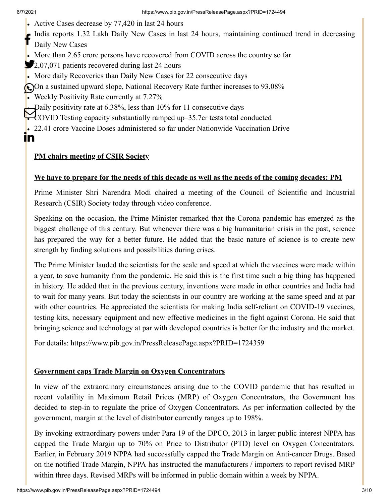In

- Active Cases decrease by 77,420 in last 24 hours
- India reports 1.32 Lakh Daily New Cases in last 24 hours, maintaining continued trend in decreasing
- Daily New Cases f
- More than 2.65 crore persons have recovered from COVID across the country so far
- 2,07,071 patients recovered during last 24 hours
- More daily Recoveries than Daily New Cases for 22 consecutive days
- On a sustained upward slope, National Recovery Rate further increases to 93.08%
- Weekly Positivity Rate currently at 7.27%

Daily positivity rate at 6.38%, less than 10% for 11 consecutive days

COVID Testing capacity substantially ramped up–35.7cr tests total conducted

22.41 crore Vaccine Doses administered so far under Nationwide Vaccination Drive

### **PM chairs meeting of CSIR Society**

#### **We have to prepare for the needs of this decade as well as the needs of the coming decades: PM**

Prime Minister Shri Narendra Modi chaired a meeting of the Council of Scientific and Industrial Research (CSIR) Society today through video conference.

Speaking on the occasion, the Prime Minister remarked that the Corona pandemic has emerged as the biggest challenge of this century. But whenever there was a big humanitarian crisis in the past, science has prepared the way for a better future. He added that the basic nature of science is to create new strength by finding solutions and possibilities during crises.

The Prime Minister lauded the scientists for the scale and speed at which the vaccines were made within a year, to save humanity from the pandemic. He said this is the first time such a big thing has happened in history. He added that in the previous century, inventions were made in other countries and India had to wait for many years. But today the scientists in our country are working at the same speed and at par with other countries. He appreciated the scientists for making India self-reliant on COVID-19 vaccines, testing kits, necessary equipment and new effective medicines in the fight against Corona. He said that bringing science and technology at par with developed countries is better for the industry and the market.

For details:<https://www.pib.gov.in/PressReleasePage.aspx?PRID=1724359>

#### **Government caps Trade Margin on Oxygen Concentrators**

In view of the extraordinary circumstances arising due to the COVID pandemic that has resulted in recent volatility in Maximum Retail Prices (MRP) of Oxygen Concentrators, the Government has decided to step-in to regulate the price of Oxygen Concentrators. As per information collected by the government, margin at the level of distributor currently ranges up to 198%.

By invoking extraordinary powers under Para 19 of the DPCO, 2013 in larger public interest NPPA has capped the Trade Margin up to 70% on Price to Distributor (PTD) level on Oxygen Concentrators. Earlier, in February 2019 NPPA had successfully capped the Trade Margin on Anti-cancer Drugs. Based on the notified Trade Margin, NPPA has instructed the manufacturers / importers to report revised MRP within three days. Revised MRPs will be informed in public domain within a week by NPPA.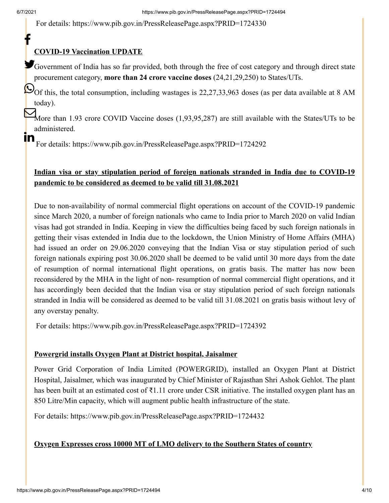f

In

For details:<https://www.pib.gov.in/PressReleasePage.aspx?PRID=1724330>

## **COVID-19 Vaccination UPDATE**

Government of India has so far provided, both through the free of cost category and through direct state procurement category, **more than 24 crore vaccine doses** (24,21,29,250) to States/UTs.

 $\bigcirc$ Of this, the total consumption, including wastages is 22,27,33,963 doses (as per data available at 8 AM today).

More than 1.93 crore COVID Vaccine doses (1,93,95,287) are still available with the States/UTs to be administered.

For details:<https://www.pib.gov.in/PressReleasePage.aspx?PRID=1724292>

# **Indian visa or stay stipulation period of foreign nationals stranded in India due to COVID-19 pandemic to be considered as deemed to be valid till 31.08.2021**

Due to non-availability of normal commercial flight operations on account of the COVID-19 pandemic since March 2020, a number of foreign nationals who came to India prior to March 2020 on valid Indian visas had got stranded in India. Keeping in view the difficulties being faced by such foreign nationals in getting their visas extended in India due to the lockdown, the Union Ministry of Home Affairs (MHA) had issued an order on 29.06.2020 conveying that the Indian Visa or stay stipulation period of such foreign nationals expiring post 30.06.2020 shall be deemed to be valid until 30 more days from the date of resumption of normal international flight operations, on gratis basis. The matter has now been reconsidered by the MHA in the light of non- resumption of normal commercial flight operations, and it has accordingly been decided that the Indian visa or stay stipulation period of such foreign nationals stranded in India will be considered as deemed to be valid till 31.08.2021 on gratis basis without levy of any overstay penalty.

For details:<https://www.pib.gov.in/PressReleasePage.aspx?PRID=1724392>

#### **Powergrid installs Oxygen Plant at District hospital, Jaisalmer**

Power Grid Corporation of India Limited (POWERGRID), installed an Oxygen Plant at District Hospital, Jaisalmer, which was inaugurated by Chief Minister of Rajasthan Shri Ashok Gehlot. The plant has been built at an estimated cost of ₹1.11 crore under CSR initiative. The installed oxygen plant has an 850 Litre/Min capacity, which will augment public health infrastructure of the state.

For details:<https://www.pib.gov.in/PressReleasePage.aspx?PRID=1724432>

#### **Oxygen Expresses cross 10000 MT of LMO delivery to the Southern States of country**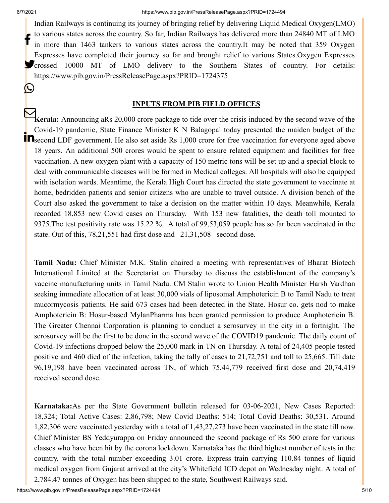<u>(W</u>

Indian Railways is continuing its journey of bringing relief by delivering Liquid Medical Oxygen(LMO) to various states across the country. So far, Indian Railways has delivered more than 24840 MT of LMO in more than 1463 tankers to various states across the country.It may be noted that 359 Oxygen Expresses have completed their journey so far and brought relief to various States.Oxygen Expresses **Crossed 10000 MT** of LMO delivery to the Southern States of country. For details: <https://www.pib.gov.in/PressReleasePage.aspx?PRID=1724375> f

#### **INPUTS FROM PIB FIELD OFFICES**

**Kerala:** Announcing aRs 20,000 crore package to tide over the crisis induced by the second wave of the Covid-19 pandemic, State Finance Minister K N Balagopal today presented the maiden budget of the Second LDF government. He also set aside Rs 1,000 crore for free vaccination for everyone aged above 18 years. An additional 500 crores would be spent to ensure related equipment and facilities for free vaccination. A new oxygen plant with a capacity of 150 metric tons will be set up and a special block to deal with communicable diseases will be formed in Medical colleges. All hospitals will also be equipped with isolation wards. Meantime, the Kerala High Court has directed the state government to vaccinate at home, bedridden patients and senior citizens who are unable to travel outside. A division bench of the Court also asked the government to take a decision on the matter within 10 days. Meanwhile, Kerala recorded 18,853 new Covid cases on Thursday. With 153 new fatalities, the death toll mounted to 9375.The test positivity rate was 15.22 %. A total of 99,53,059 people has so far been vaccinated in the state. Out of this, 78,21,551 had first dose and 21,31,508 second dose.

**Tamil Nadu:** Chief Minister M.K. Stalin chaired a meeting with representatives of Bharat Biotech International Limited at the Secretariat on Thursday to discuss the establishment of the company's vaccine manufacturing units in Tamil Nadu. CM Stalin wrote to Union Health Minister Harsh Vardhan seeking immediate allocation of at least 30,000 vials of liposomal Amphotericin B to Tamil Nadu to treat mucormycosis patients. He said 673 cases had been detected in the State. Hosur co. gets nod to make Amphotericin B: Hosur-based MylanPharma has been granted permission to produce Amphotericin B. The Greater Chennai Corporation is planning to conduct a serosurvey in the city in a fortnight. The serosurvey will be the first to be done in the second wave of the COVID19 pandemic. The daily count of Covid-19 infections dropped below the 25,000 mark in TN on Thursday. A total of 24,405 people tested positive and 460 died of the infection, taking the tally of cases to 21,72,751 and toll to 25,665. Till date 96,19,198 have been vaccinated across TN, of which 75,44,779 received first dose and 20,74,419 received second dose.

**Karnataka:**As per the State Government bulletin released for 03-06-2021, New Cases Reported: 18,324; Total Active Cases: 2,86,798; New Covid Deaths: 514; Total Covid Deaths: 30,531. Around 1,82,306 were vaccinated yesterday with a total of 1,43,27,273 have been vaccinated in the state till now. Chief Minister BS Yeddyurappa on Friday announced the second package of Rs 500 crore for various classes who have been hit by the corona lockdown. Karnataka has the third highest number of tests in the country, with the total number exceeding 3.01 crore. Express train carrying 110.84 tonnes of liquid medical oxygen from Gujarat arrived at the city's Whitefield ICD depot on Wednesday night. A total of 2,784.47 tonnes of Oxygen has been shipped to the state, Southwest Railways said.

https://www.pib.gov.in/PressReleasePage.aspx?PRID=1724494 5/10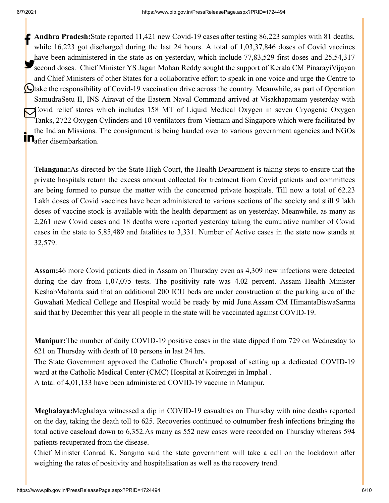**Andhra Pradesh:**State reported 11,421 new Covid-19 cases after testing 86,223 samples with 81 deaths, while 16,223 got discharged during the last 24 hours. A total of 1,03,37,846 doses of Covid vaccines have been administered in the state as on yesterday, which include 77,83,529 first doses and 25,54,317 Second doses. Chief Minister YS Jagan Mohan Reddy sought the support of Kerala CM PinarayiVijayan and Chief Ministers of other States for a collaborative effort to speak in one voice and urge the Centre to Otake the responsibility of Covid-19 vaccination drive across the country. Meanwhile, as part of Operation SamudraSetu II, INS Airavat of the Eastern Naval Command arrived at Visakhapatnam yesterday with Covid relief stores which includes 158 MT of Liquid Medical Oxygen in seven Cryogenic Oxygen Tanks, 2722 Oxygen Cylinders and 10 ventilators from Vietnam and Singapore which were facilitated by the Indian Missions. The consignment is being handed over to various government agencies and NGOs **in** the mutan Missions.<br>**In** after disembarkation.

**Telangana:**As directed by the State High Court, the Health Department is taking steps to ensure that the private hospitals return the excess amount collected for treatment from Covid patients and committees are being formed to pursue the matter with the concerned private hospitals. Till now a total of 62.23 Lakh doses of Covid vaccines have been administered to various sections of the society and still 9 lakh doses of vaccine stock is available with the health department as on yesterday. Meanwhile, as many as 2,261 new Covid cases and 18 deaths were reported yesterday taking the cumulative number of Covid cases in the state to 5,85,489 and fatalities to 3,331. Number of Active cases in the state now stands at 32,579.

**Assam:**46 more Covid patients died in Assam on Thursday even as 4,309 new infections were detected during the day from 1,07,075 tests. The positivity rate was 4.02 percent. Assam Health Minister KeshabMahanta said that an additional 200 ICU beds are under construction at the parking area of the Guwahati Medical College and Hospital would be ready by mid June.Assam CM HimantaBiswaSarma said that by December this year all people in the state will be vaccinated against COVID-19.

**Manipur:**The number of daily COVID-19 positive cases in the state dipped from 729 on Wednesday to 621 on Thursday with death of 10 persons in last 24 hrs.

The State Government approved the Catholic Church's proposal of setting up a dedicated COVID-19 ward at the Catholic Medical Center (CMC) Hospital at Koirengei in Imphal .

A total of 4,01,133 have been administered COVID-19 vaccine in Manipur.

**Meghalaya:**Meghalaya witnessed a dip in COVID-19 casualties on Thursday with nine deaths reported on the day, taking the death toll to 625. Recoveries continued to outnumber fresh infections bringing the total active caseload down to 6,352.As many as 552 new cases were recorded on Thursday whereas 594 patients recuperated from the disease.

Chief Minister Conrad K. Sangma said the state government will take a call on the lockdown after weighing the rates of positivity and hospitalisation as well as the recovery trend.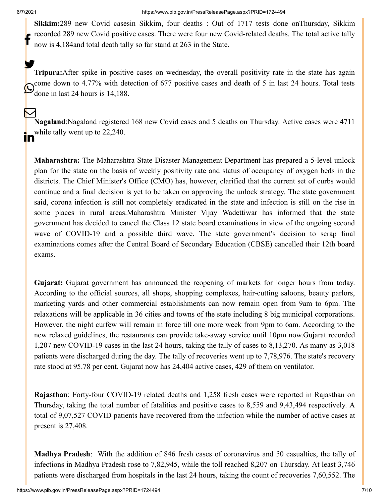**Sikkim:**289 new Covid casesin Sikkim, four deaths : Out of 1717 tests done onThursday, Sikkim recorded 289 new Covid positive cases. There were four new Covid-related deaths. The total active tally now is 4,184and total death tally so far stand at 263 in the State. f

**Tripura:**After spike in positive cases on wednesday, the overall positivity rate in the state has again come down to 4.77% with detection of 677 positive cases and death of 5 in last 24 hours. Total tests  $\odot$  done in last 24 hours is 14,188. У.

**Nagaland**:Nagaland registered 168 new Covid cases and 5 deaths on Thursday. Active cases were 4711 while tally went up to 22,240.  $\bm{\nabla}$ <u>in</u>

**Maharashtra:** The Maharashtra State Disaster Management Department has prepared a 5-level unlock plan for the state on the basis of weekly positivity rate and status of occupancy of oxygen beds in the districts. The Chief Minister's Office (CMO) has, however, clarified that the current set of curbs would continue and a final decision is yet to be taken on approving the unlock strategy. The state government said, corona infection is still not completely eradicated in the state and infection is still on the rise in some places in rural areas.Maharashtra Minister Vijay Wadettiwar has informed that the state government has decided to cancel the Class 12 state board examinations in view of the ongoing second wave of COVID-19 and a possible third wave. The state government's decision to scrap final examinations comes after the Central Board of Secondary Education (CBSE) cancelled their 12th board exams.

**Gujarat:** Gujarat government has announced the reopening of markets for longer hours from today. According to the official sources, all shops, shopping complexes, hair-cutting saloons, beauty parlors, marketing yards and other commercial establishments can now remain open from 9am to 6pm. The relaxations will be applicable in 36 cities and towns of the state including 8 big municipal corporations. However, the night curfew will remain in force till one more week from 9pm to 6am. According to the new relaxed guidelines, the restaurants can provide take-away service until 10pm now.Gujarat recorded 1,207 new COVID-19 cases in the last 24 hours, taking the tally of cases to 8,13,270. As many as 3,018 patients were discharged during the day. The tally of recoveries went up to 7,78,976. The state's recovery rate stood at 95.78 per cent. Gujarat now has 24,404 active cases, 429 of them on ventilator.

**Rajasthan**: Forty-four COVID-19 related deaths and 1,258 fresh cases were reported in Rajasthan on Thursday, taking the total number of fatalities and positive cases to 8,559 and 9,43,494 respectively. A total of 9,07,527 COVID patients have recovered from the infection while the number of active cases at present is 27,408.

**Madhya Pradesh**: With the addition of 846 fresh cases of coronavirus and 50 casualties, the tally of infections in Madhya Pradesh rose to 7,82,945, while the toll reached 8,207 on Thursday. At least 3,746 patients were discharged from hospitals in the last 24 hours, taking the count of recoveries 7,60,552. The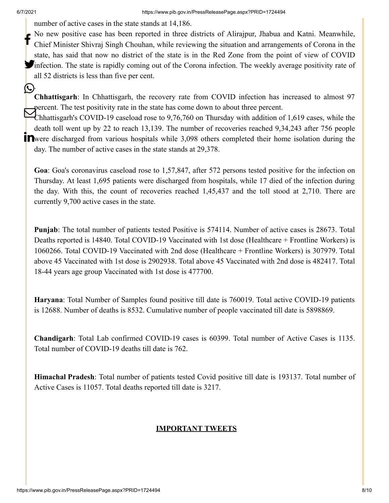.

(L)

number of active cases in the state stands at 14,186.

No new positive case has been reported in three districts of Alirajpur, Jhabua and Katni. Meanwhile, Chief Minister Shivraj Singh Chouhan, while reviewing the situation and arrangements of Corona in the state, has said that now no district of the state is in the Red Zone from the point of view of COVID infection. The state is rapidly coming out of the Corona infection. The weekly average positivity rate of all 52 districts is less than five per cent. f

**Chhattisgarh**: In Chhattisgarh, the recovery rate from COVID infection has increased to almost 97 percent. The test positivity rate in the state has come down to about three percent.

Sercent. The test positivity rate in the state has come down to about three percent.<br>Chhattisgarh's COVID-19 caseload rose to 9,76,760 on Thursday with addition of 1,619 cases, while the death toll went up by 22 to reach 13,139. The number of recoveries reached 9,34,243 after 756 people **T** were discharged from various hospitals while 3,098 others completed their home isolation during the day. The number of active cases in the state stands at 29,378.

**Goa**: Goa's coronavirus caseload rose to 1,57,847, after 572 persons tested positive for the infection on Thursday. At least 1,695 patients were discharged from hospitals, while 17 died of the infection during the day. With this, the count of recoveries reached 1,45,437 and the toll stood at 2,710. There are currently 9,700 active cases in the state.

**Punjab**: The total number of patients tested Positive is 574114. Number of active cases is 28673. Total Deaths reported is 14840. Total COVID-19 Vaccinated with 1st dose (Healthcare + Frontline Workers) is 1060266. Total COVID-19 Vaccinated with 2nd dose (Healthcare + Frontline Workers) is 307979. Total above 45 Vaccinated with 1st dose is 2902938. Total above 45 Vaccinated with 2nd dose is 482417. Total 18-44 years age group Vaccinated with 1st dose is 477700.

**Haryana**: Total Number of Samples found positive till date is 760019. Total active COVID-19 patients is 12688. Number of deaths is 8532. Cumulative number of people vaccinated till date is 5898869.

**Chandigarh**: Total Lab confirmed COVID-19 cases is 60399. Total number of Active Cases is 1135. Total number of COVID-19 deaths till date is 762.

**Himachal Pradesh**: Total number of patients tested Covid positive till date is 193137. Total number of Active Cases is 11057. Total deaths reported till date is 3217.

# **IMPORTANT TWEETS**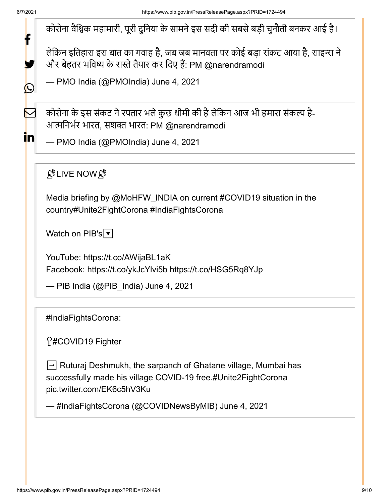